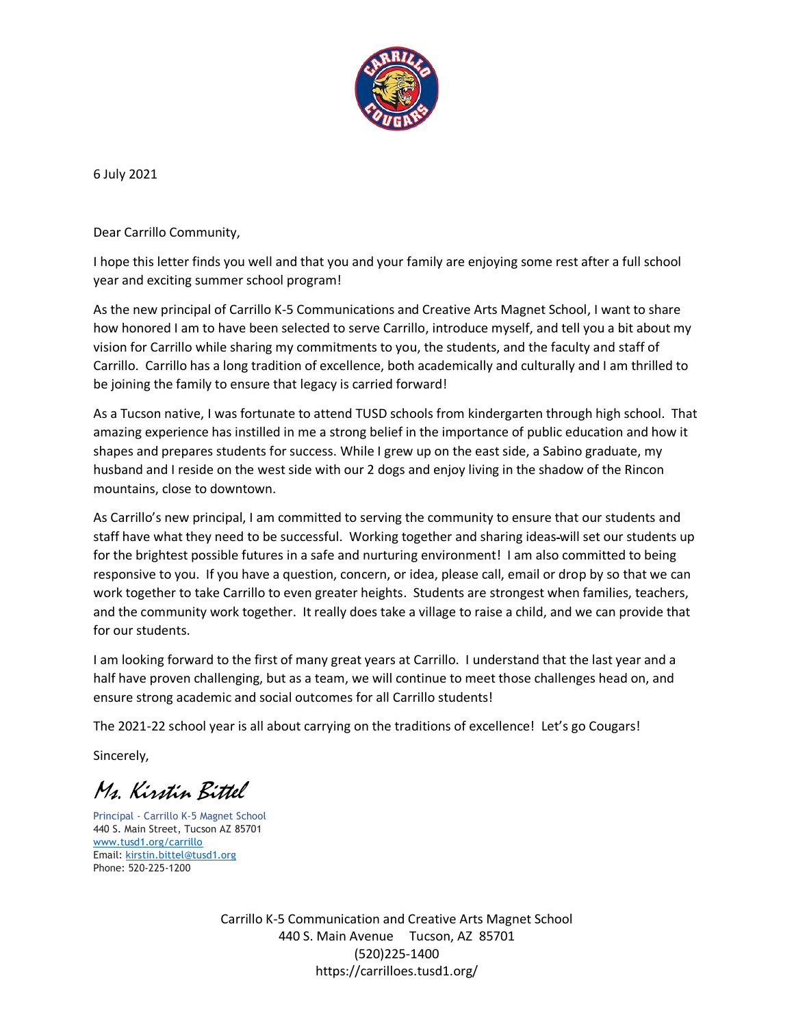

6 July 2021

Dear Carrillo Community,

I hope this letter finds you well and that you and your family are enjoying some rest after a full school year and exciting summer school program!

As the new principal of Carrillo K-5 Communications and Creative Arts Magnet School, I want to share how honored I am to have been selected to serve Carrillo, introduce myself, and tell you a bit about my vision for Carrillo while sharing my commitments to you, the students, and the faculty and staff of Carrillo. Carrillo has a long tradition of excellence, both academically and culturally and I am thrilled to be joining the family to ensure that legacy is carried forward!

As a Tucson native, I was fortunate to attend TUSD schools from kindergarten through high school. That amazing experience has instilled in me a strong belief in the importance of public education and how it shapes and prepares students for success. While I grew up on the east side, a Sabino graduate, my husband and I reside on the west side with our 2 dogs and enjoy living in the shadow of the Rincon mountains, close to downtown.

As Carrillo's new principal, I am committed to serving the community to ensure that our students and staff have what they need to be successful. Working together and sharing ideas will set our students up for the brightest possible futures in a safe and nurturing environment! I am also committed to being responsive to you. If you have a question, concern, or idea, please call, email or drop by so that we can work together to take Carrillo to even greater heights. Students are strongest when families, teachers, and the community work together. It really does take a village to raise a child, and we can provide that for our students.

I am looking forward to the first of many great years at Carrillo. I understand that the last year and a half have proven challenging, but as a team, we will continue to meet those challenges head on, and ensure strong academic and social outcomes for all Carrillo students!

The 2021-22 school year is all about carrying on the traditions of excellence! Let's go Cougars!

Sincerely,

Ms. Kirstin Bittel

Principal - Carrillo K-5 Magnet School 440 S. Main Street, Tucson AZ 85701 [www.tusd1.org/carrillo](http://www.tusd1.org/carrillo) Email: [kirstin.bittel@tusd1.org](mailto:kirstin.bittel@tusd1.org) Phone: 520-225-1200

> Carrillo K-5 Communication and Creative Arts Magnet School 440 S. Main Avenue Tucson, AZ 85701 (520)225-1400 https://carrilloes.tusd1.org/